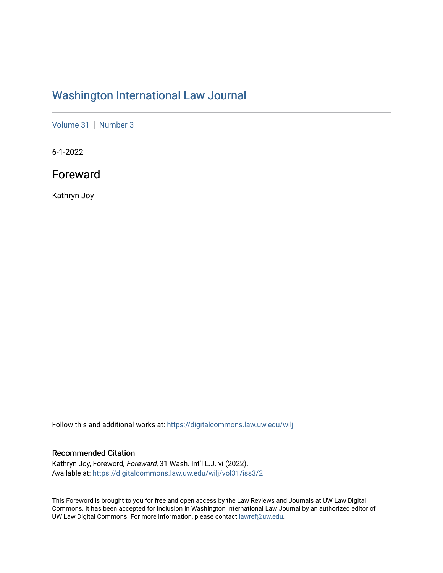## [Washington International Law Journal](https://digitalcommons.law.uw.edu/wilj)

[Volume 31](https://digitalcommons.law.uw.edu/wilj/vol31) | [Number 3](https://digitalcommons.law.uw.edu/wilj/vol31/iss3)

6-1-2022

Foreward

Kathryn Joy

Follow this and additional works at: [https://digitalcommons.law.uw.edu/wilj](https://digitalcommons.law.uw.edu/wilj?utm_source=digitalcommons.law.uw.edu%2Fwilj%2Fvol31%2Fiss3%2F2&utm_medium=PDF&utm_campaign=PDFCoverPages) 

## Recommended Citation

Kathryn Joy, Foreword, Foreward, 31 Wash. Int'l L.J. vi (2022). Available at: [https://digitalcommons.law.uw.edu/wilj/vol31/iss3/2](https://digitalcommons.law.uw.edu/wilj/vol31/iss3/2?utm_source=digitalcommons.law.uw.edu%2Fwilj%2Fvol31%2Fiss3%2F2&utm_medium=PDF&utm_campaign=PDFCoverPages) 

This Foreword is brought to you for free and open access by the Law Reviews and Journals at UW Law Digital Commons. It has been accepted for inclusion in Washington International Law Journal by an authorized editor of UW Law Digital Commons. For more information, please contact [lawref@uw.edu](mailto:lawref@uw.edu).